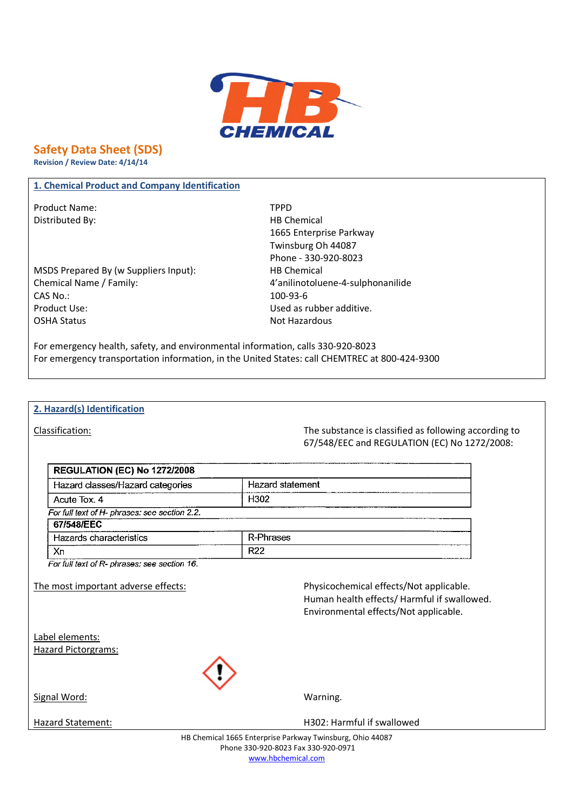

# **Safety Data Sheet (SDS)**

**Revision / Review Date: 4/14/14**

## **1. Chemical Product and Company Identification**

Product Name: TPPD Distributed By: Notice and Separate Separate Separate Separate Separate Separate Separate Separate Separate Separate Separate Separate Separate Separate Separate Separate Separate Separate Separate Separate Separate Separa

MSDS Prepared By (w Suppliers Input): HB Chemical Chemical Name / Family: 4'anilinotoluene-4-sulphonanilide CAS No.: 100-93-6 Product Use: Used as rubber additive. OSHA Status Not Hazardous

1665 Enterprise Parkway Twinsburg Oh 44087 Phone - 330-920-8023

For emergency health, safety, and environmental information, calls 330-920-8023 For emergency transportation information, in the United States: call CHEMTREC at 800-424-9300

### **2. Hazard(s) Identification**

Classification: The substance is classified as following according to 67/548/EEC and REGULATION (EC) No 1272/2008:

| Hazard statement                                                                                                                |
|---------------------------------------------------------------------------------------------------------------------------------|
| H <sub>302</sub>                                                                                                                |
|                                                                                                                                 |
|                                                                                                                                 |
| R-Phrases                                                                                                                       |
| <b>R22</b>                                                                                                                      |
|                                                                                                                                 |
| Physicochemical effects/Not applicable.<br>Human health effects/ Harmful if swallowed.<br>Environmental effects/Not applicable. |
|                                                                                                                                 |

Label elements: Hazard Pictorgrams:

Signal Word: Warning.

Hazard Statement: H302: Harmful if swallowed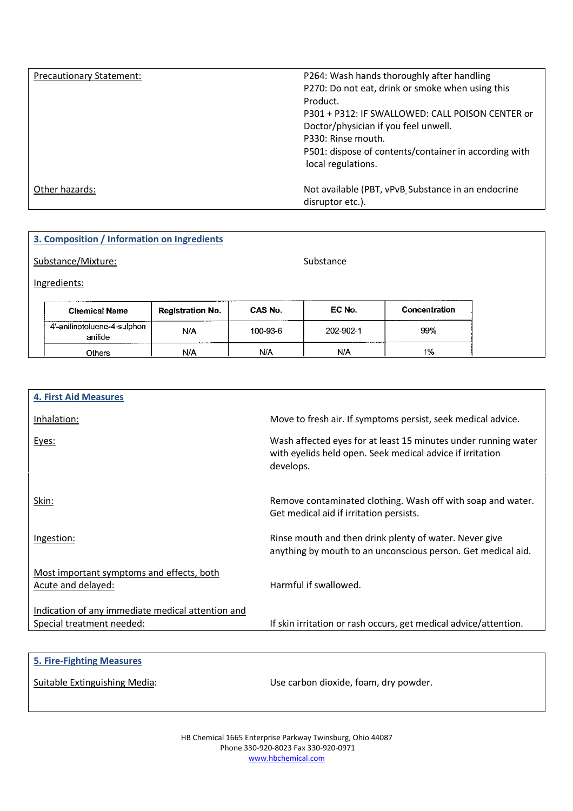| <b>Precautionary Statement:</b> | P264: Wash hands thoroughly after handling<br>P270: Do not eat, drink or smoke when using this<br>Product.<br>P301 + P312: IF SWALLOWED: CALL POISON CENTER or<br>Doctor/physician if you feel unwell.<br>P330: Rinse mouth.<br>P501: dispose of contents/container in according with<br>local regulations. |
|---------------------------------|-------------------------------------------------------------------------------------------------------------------------------------------------------------------------------------------------------------------------------------------------------------------------------------------------------------|
| Other hazards:                  | Not available (PBT, vPvB Substance in an endocrine<br>disruptor etc.).                                                                                                                                                                                                                                      |

## **3. Composition / Information on Ingredients**

Substance/Mixture: Substance

Ingredients:

| <b>Chemical Name</b>                   | <b>Registration No.</b> | CAS No.    | EC No.    | Concentration |
|----------------------------------------|-------------------------|------------|-----------|---------------|
| 4'-anilinotoluene-4-sulphon<br>anilide | N/A                     | 100-93-6   | 202-902-1 | 99%           |
| Others                                 | N/A                     | <b>N/A</b> | N/A       | 1%            |

| <b>4. First Aid Measures</b>                                                   |                                                                                                                                          |
|--------------------------------------------------------------------------------|------------------------------------------------------------------------------------------------------------------------------------------|
| Inhalation:                                                                    | Move to fresh air. If symptoms persist, seek medical advice.                                                                             |
| Eyes:                                                                          | Wash affected eyes for at least 15 minutes under running water<br>with eyelids held open. Seek medical advice if irritation<br>develops. |
| Skin:                                                                          | Remove contaminated clothing. Wash off with soap and water.<br>Get medical aid if irritation persists.                                   |
| Ingestion:                                                                     | Rinse mouth and then drink plenty of water. Never give<br>anything by mouth to an unconscious person. Get medical aid.                   |
| Most important symptoms and effects, both<br>Acute and delayed:                | Harmful if swallowed.                                                                                                                    |
| Indication of any immediate medical attention and<br>Special treatment needed: | If skin irritation or rash occurs, get medical advice/attention.                                                                         |
|                                                                                |                                                                                                                                          |
| <b>5. Fire-Fighting Measures</b>                                               |                                                                                                                                          |
| Suitable Extinguishing Media:                                                  | Use carbon dioxide, foam, dry powder.                                                                                                    |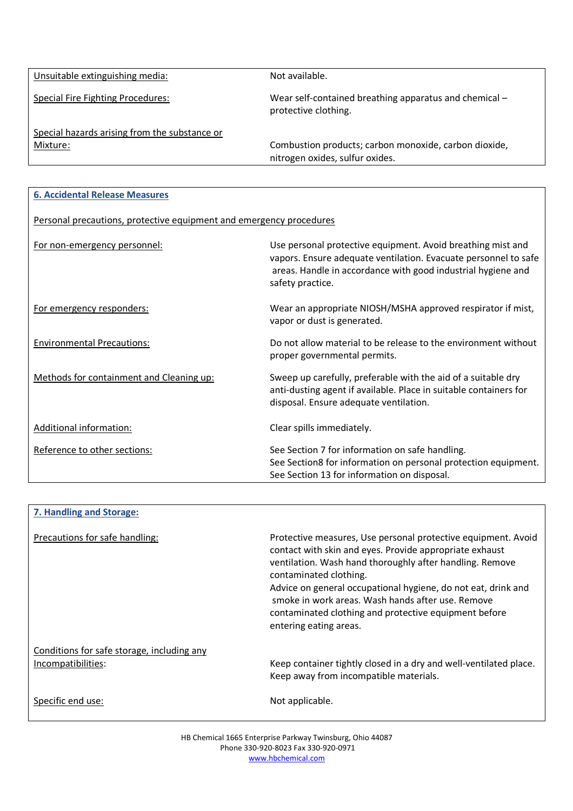Unsuitable extinguishing media: Not available.

Special Fire Fighting Procedures: Wear self-contained breathing apparatus and chemical – protective clothing.

Special hazards arising from the substance or

Mixture: Combustion products; carbon monoxide, carbon dioxide, nitrogen oxides, sulfur oxides.

# **6. Accidental Release Measures** Personal precautions, protective equipment and emergency procedures For non-emergency personnel: Use personal protective equipment. Avoid breathing mist and vapors. Ensure adequate ventilation. Evacuate personnel to safe areas. Handle in accordance with good industrial hygiene and safety practice. For emergency responders: Wear an appropriate NIOSH/MSHA approved respirator if mist, vapor or dust is generated. Environmental Precautions: Do not allow material to be release to the environment without proper governmental permits. Methods for containment and Cleaning up: Sweep up carefully, preferable with the aid of a suitable dry anti-dusting agent if available. Place in suitable containers for disposal. Ensure adequate ventilation. Additional information: example and the Clear spills immediately. Reference to other sections: See Section 7 for information on safe handling. See Section8 for information on personal protection equipment. See Section 13 for information on disposal.

| 7. Handling and Storage:                                         |                                                                                                                                                                                                                                                                                                                                                                                                                         |
|------------------------------------------------------------------|-------------------------------------------------------------------------------------------------------------------------------------------------------------------------------------------------------------------------------------------------------------------------------------------------------------------------------------------------------------------------------------------------------------------------|
| Precautions for safe handling:                                   | Protective measures, Use personal protective equipment. Avoid<br>contact with skin and eyes. Provide appropriate exhaust<br>ventilation. Wash hand thoroughly after handling. Remove<br>contaminated clothing.<br>Advice on general occupational hygiene, do not eat, drink and<br>smoke in work areas. Wash hands after use. Remove<br>contaminated clothing and protective equipment before<br>entering eating areas. |
| Conditions for safe storage, including any<br>Incompatibilities: | Keep container tightly closed in a dry and well-ventilated place.<br>Keep away from incompatible materials.                                                                                                                                                                                                                                                                                                             |
| Specific end use:                                                | Not applicable.                                                                                                                                                                                                                                                                                                                                                                                                         |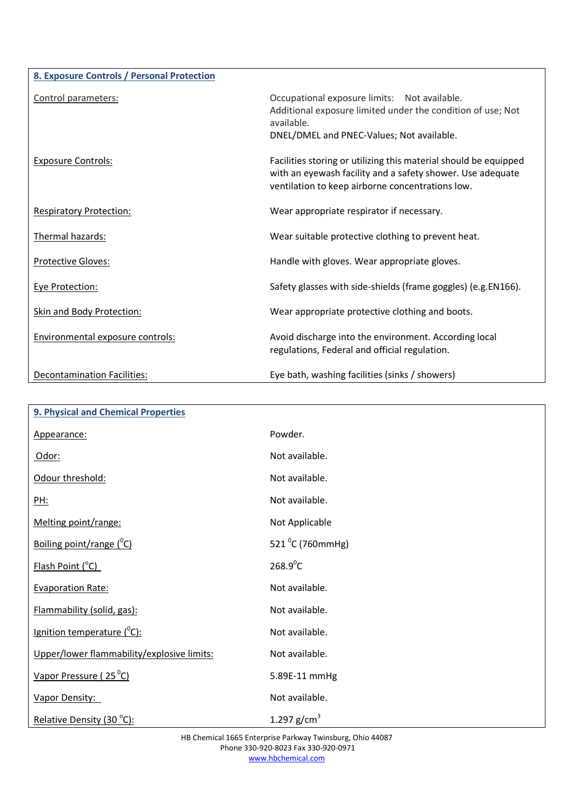| 8. Exposure Controls / Personal Protection |                                                                                                                                                                                    |
|--------------------------------------------|------------------------------------------------------------------------------------------------------------------------------------------------------------------------------------|
| Control parameters:                        | Occupational exposure limits: Not available.<br>Additional exposure limited under the condition of use; Not<br>available.<br>DNEL/DMEL and PNEC-Values; Not available.             |
| <b>Exposure Controls:</b>                  | Facilities storing or utilizing this material should be equipped<br>with an eyewash facility and a safety shower. Use adequate<br>ventilation to keep airborne concentrations low. |
| <b>Respiratory Protection:</b>             | Wear appropriate respirator if necessary.                                                                                                                                          |
| Thermal hazards:                           | Wear suitable protective clothing to prevent heat.                                                                                                                                 |
| <b>Protective Gloves:</b>                  | Handle with gloves. Wear appropriate gloves.                                                                                                                                       |
| Eye Protection:                            | Safety glasses with side-shields (frame goggles) (e.g.EN166).                                                                                                                      |
| <b>Skin and Body Protection:</b>           | Wear appropriate protective clothing and boots.                                                                                                                                    |
| Environmental exposure controls:           | Avoid discharge into the environment. According local<br>regulations, Federal and official regulation.                                                                             |
| <b>Decontamination Facilities:</b>         | Eye bath, washing facilities (sinks / showers)                                                                                                                                     |

| 9. Physical and Chemical Properties          |                  |
|----------------------------------------------|------------------|
| Appearance:                                  | Powder.          |
| Odor:                                        | Not available.   |
| Odour threshold:                             | Not available.   |
| <u>PH:</u>                                   | Not available.   |
| Melting point/range:                         | Not Applicable   |
| Boiling point/range ( <sup>o</sup> C)        | 521 °C (760mmHg) |
| Flash Point (°C)                             | $268.9^{\circ}C$ |
| <b>Evaporation Rate:</b>                     | Not available.   |
| Flammability (solid, gas):                   | Not available.   |
| <u>Ignition temperature (<sup>o</sup>C):</u> | Not available.   |
| Upper/lower flammability/explosive limits:   | Not available.   |
| Vapor Pressure (25 <sup>°</sup> C)           | 5.89E-11 mmHg    |
| Vapor Density:                               | Not available.   |
| Relative Density (30 °C):                    | 1.297 $g/cm^{3}$ |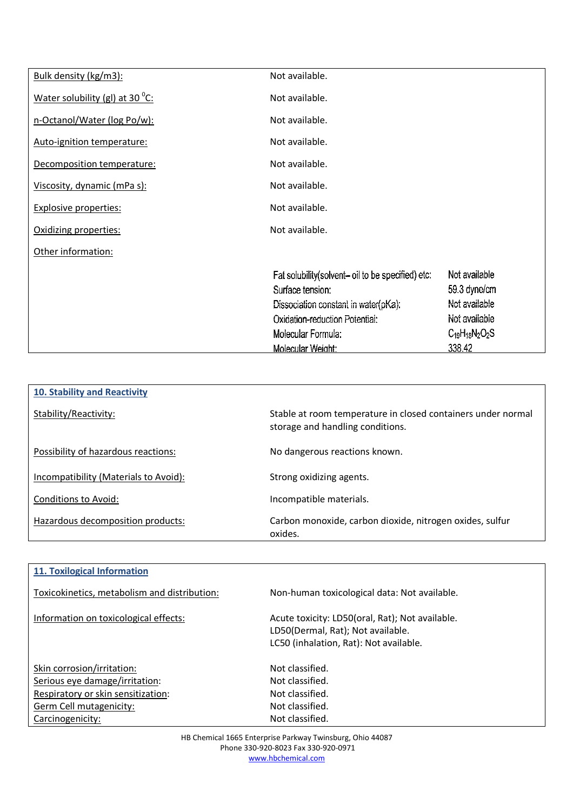| Bulk density (kg/m3):           | Not available.                                    |                       |
|---------------------------------|---------------------------------------------------|-----------------------|
| Water solubility (gl) at 30 °C: | Not available.                                    |                       |
| n-Octanol/Water (log Po/w):     | Not available.                                    |                       |
| Auto-ignition temperature:      | Not available.                                    |                       |
| Decomposition temperature:      | Not available.                                    |                       |
| Viscosity, dynamic (mPa s):     | Not available.                                    |                       |
| <b>Explosive properties:</b>    | Not available.                                    |                       |
| Oxidizing properties:           | Not available.                                    |                       |
| Other information:              |                                                   |                       |
|                                 | Fat solubility (solvent-oil to be specified) etc: | Not available         |
|                                 | Surface tension:                                  | 59.3 dyne/cm          |
|                                 | Dissociation constant in water(pKa):              | Not available         |
|                                 | Oxidation-reduction Potential:                    | Not available         |
|                                 | Molecular Formula:                                | $C_{19}H_{18}N_2O_2S$ |
|                                 | Molecular Weight:                                 | 338.42                |

| 10. Stability and Reactivity          |                                                                                                  |
|---------------------------------------|--------------------------------------------------------------------------------------------------|
| Stability/Reactivity:                 | Stable at room temperature in closed containers under normal<br>storage and handling conditions. |
| Possibility of hazardous reactions:   | No dangerous reactions known.                                                                    |
| Incompatibility (Materials to Avoid): | Strong oxidizing agents.                                                                         |
| Conditions to Avoid:                  | Incompatible materials.                                                                          |
| Hazardous decomposition products:     | Carbon monoxide, carbon dioxide, nitrogen oxides, sulfur<br>oxides.                              |

| 11. Toxilogical Information                  |                                                                                                                                |
|----------------------------------------------|--------------------------------------------------------------------------------------------------------------------------------|
| Toxicokinetics, metabolism and distribution: | Non-human toxicological data: Not available.                                                                                   |
| Information on toxicological effects:        | Acute toxicity: LD50(oral, Rat); Not available.<br>LD50(Dermal, Rat); Not available.<br>LC50 (inhalation, Rat): Not available. |
| Skin corrosion/irritation:                   | Not classified.                                                                                                                |
| Serious eye damage/irritation:               | Not classified.                                                                                                                |
| Respiratory or skin sensitization:           | Not classified.                                                                                                                |
| Germ Cell mutagenicity:                      | Not classified.                                                                                                                |
| Carcinogenicity:                             | Not classified.                                                                                                                |
|                                              |                                                                                                                                |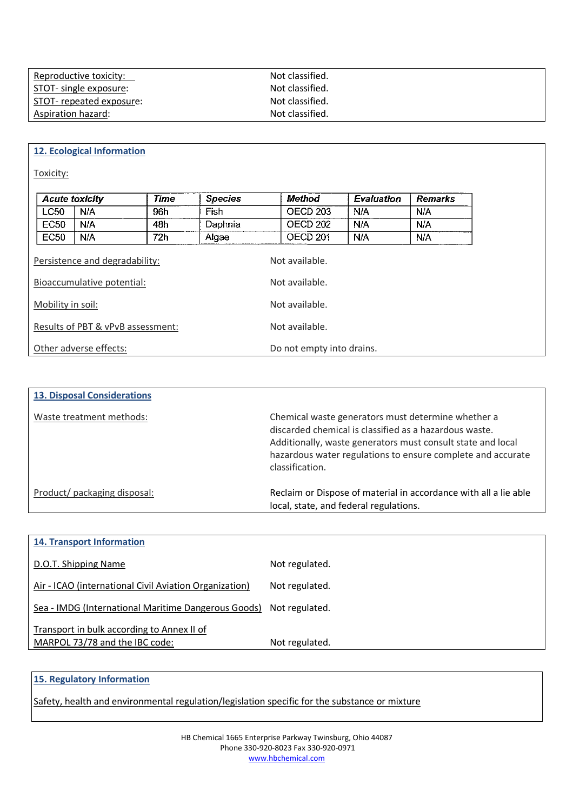| Reproductive toxicity:   | Not classified. |
|--------------------------|-----------------|
| STOT- single exposure:   | Not classified. |
| STOT- repeated exposure: | Not classified. |
| Aspiration hazard:       | Not classified. |

#### **12. Ecological Information**

Toxicity:

|                        | <b>Acute toxicity</b>                                        | Time | <b>Species</b>            | Method                           | <b>Evaluation</b> | <b>Remarks</b> |
|------------------------|--------------------------------------------------------------|------|---------------------------|----------------------------------|-------------------|----------------|
| <b>LC50</b>            | N/A                                                          | 96h  | Fish                      | OECD <sub>203</sub>              | N/A               | N/A            |
| EC50                   | N/A                                                          | 48h  | Daphnia                   | OECD <sub>202</sub>              | N/A               | N/A            |
| EC50                   | N/A                                                          | 72h  | Algae                     | OECD <sub>201</sub>              | N/A               | N/A            |
|                        | Persistence and degradability:<br>Bioaccumulative potential: |      |                           | Not available.<br>Not available. |                   |                |
| Mobility in soil:      |                                                              |      |                           | Not available.                   |                   |                |
|                        | Results of PBT & vPvB assessment:                            |      |                           | Not available.                   |                   |                |
| Other adverse effects: |                                                              |      | Do not empty into drains. |                                  |                   |                |

| <b>13. Disposal Considerations</b> |                                                                                                                                                                                                                                                               |
|------------------------------------|---------------------------------------------------------------------------------------------------------------------------------------------------------------------------------------------------------------------------------------------------------------|
| Waste treatment methods:           | Chemical waste generators must determine whether a<br>discarded chemical is classified as a hazardous waste.<br>Additionally, waste generators must consult state and local<br>hazardous water regulations to ensure complete and accurate<br>classification. |
| Product/ packaging disposal:       | Reclaim or Dispose of material in accordance with all a lie able<br>local, state, and federal regulations.                                                                                                                                                    |

| <b>14. Transport Information</b>                                             |                |
|------------------------------------------------------------------------------|----------------|
| D.O.T. Shipping Name                                                         | Not regulated. |
| Air - ICAO (international Civil Aviation Organization)                       | Not regulated. |
| Sea - IMDG (International Maritime Dangerous Goods)                          | Not regulated. |
| Transport in bulk according to Annex II of<br>MARPOL 73/78 and the IBC code: | Not regulated. |

# **15. Regulatory Information**

Safety, health and environmental regulation/legislation specific for the substance or mixture